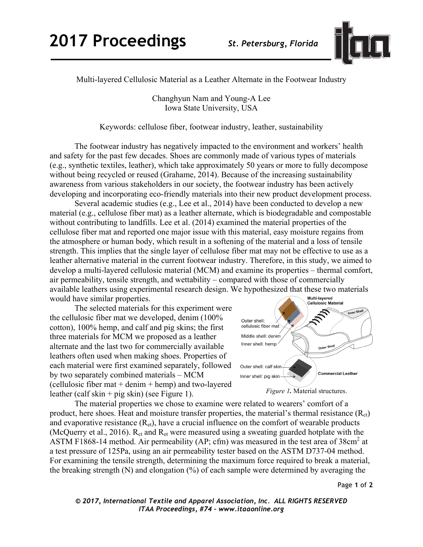

Multi-layered Cellulosic Material as a Leather Alternate in the Footwear Industry

Changhyun Nam and Young-A Lee Iowa State University, USA

Keywords: cellulose fiber, footwear industry, leather, sustainability

The footwear industry has negatively impacted to the environment and workers' health and safety for the past few decades. Shoes are commonly made of various types of materials (e.g., synthetic textiles, leather), which take approximately 50 years or more to fully decompose without being recycled or reused (Grahame, 2014). Because of the increasing sustainability awareness from various stakeholders in our society, the footwear industry has been actively developing and incorporating eco-friendly materials into their new product development process.

Several academic studies (e.g., Lee et al., 2014) have been conducted to develop a new material (e.g., cellulose fiber mat) as a leather alternate, which is biodegradable and compostable without contributing to landfills. Lee et al. (2014) examined the material properties of the cellulose fiber mat and reported one major issue with this material, easy moisture regains from the atmosphere or human body, which result in a softening of the material and a loss of tensile strength. This implies that the single layer of cellulose fiber mat may not be effective to use as a leather alternative material in the current footwear industry. Therefore, in this study, we aimed to develop a multi-layered cellulosic material (MCM) and examine its properties – thermal comfort, air permeability, tensile strength, and wettability – compared with those of commercially available leathers using experimental research design. We hypothesized that these two materials would have similar properties.

The selected materials for this experiment were the cellulosic fiber mat we developed, denim (100% cotton), 100% hemp, and calf and pig skins; the first three materials for MCM we proposed as a leather alternate and the last two for commercially available leathers often used when making shoes. Properties of each material were first examined separately, followed by two separately combined materials – MCM (cellulosic fiber mat + denim + hemp) and two-layered leather (calf skin + pig skin) (see Figure 1).



The material properties we chose to examine were related to wearers' comfort of a product, here shoes. Heat and moisture transfer properties, the material's thermal resistance  $(R<sub>ct</sub>)$ and evaporative resistance  $(R_{et})$ , have a crucial influence on the comfort of wearable products (McQuerry et al., 2016).  $R_{ct}$  and  $R_{et}$  were measured using a sweating guarded hotplate with the ASTM F1868-14 method. Air permeability (AP; cfm) was measured in the test area of 38cm<sup>2</sup> at a test pressure of 125Pa, using an air permeability tester based on the ASTM D737-04 method. For examining the tensile strength, determining the maximum force required to break a material, the breaking strength (N) and elongation (%) of each sample were determined by averaging the

*© 2017, International Textile and Apparel Association, Inc. ALL RIGHTS RESERVED ITAA Proceedings, #74 – www.itaaonline.org*